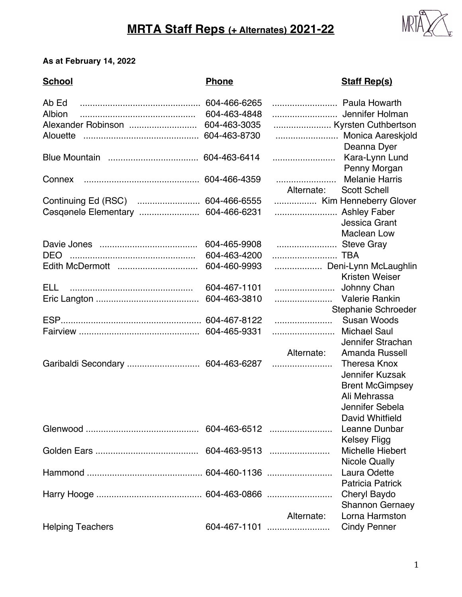## **MRTA Staff Reps (+ Alternates) 2021-22**



## **As at February 14, 2022**

| <b>School</b>                      | <b>Phone</b> |               | <b>Staff Rep(s)</b>                          |
|------------------------------------|--------------|---------------|----------------------------------------------|
| Ab Ed                              | 604-466-6265 | Paula Howarth |                                              |
| Albion                             | 604-463-4848 |               |                                              |
| Alexander Robinson                 | 604-463-3035 |               | Kyrsten Cuthbertson                          |
| Alouette                           | 604-463-8730 |               | Monica Aareskjold<br>Deanna Dyer             |
|                                    |              |               | Kara-Lynn Lund<br>Penny Morgan               |
| Connex                             | 604-466-4359 | Alternate:    | <b>Melanie Harris</b><br><b>Scott Schell</b> |
|                                    |              |               | Kim Henneberry Glover                        |
| Cosqonelo Elementary  604-466-6231 |              | Ashley Faber  |                                              |
|                                    |              |               | <b>Jessica Grant</b>                         |
|                                    |              |               | <b>Maclean Low</b>                           |
|                                    | 604-465-9908 | Steve Gray    |                                              |
|                                    | 604-463-4200 | TBA           |                                              |
|                                    | 604-460-9993 |               | Deni-Lynn McLaughlin                         |
|                                    |              |               | Kristen Weiser                               |
| ELL.                               | 604-467-1101 |               | Johnny Chan                                  |
|                                    | 604-463-3810 |               |                                              |
|                                    |              |               | Stephanie Schroeder                          |
|                                    |              |               | <b>Susan Woods</b>                           |
|                                    |              |               | <b>Michael Saul</b>                          |
|                                    |              |               | Jennifer Strachan                            |
|                                    |              | Alternate:    | Amanda Russell                               |
| Garibaldi Secondary  604-463-6287  |              |               | <b>Theresa Knox</b>                          |
|                                    |              |               | Jennifer Kuzsak                              |
|                                    |              |               | <b>Brent McGimpsey</b>                       |
|                                    |              |               | Ali Mehrassa                                 |
|                                    |              |               | Jennifer Sebela                              |
|                                    |              |               | <b>David Whitfield</b>                       |
|                                    |              | 604-463-6512  | Leanne Dunbar                                |
|                                    |              |               | <b>Kelsey Fligg</b>                          |
|                                    |              |               | <b>Michelle Hiebert</b>                      |
|                                    |              |               | <b>Nicole Qually</b>                         |
|                                    |              |               | Laura Odette                                 |
|                                    |              |               | <b>Patricia Patrick</b>                      |
|                                    |              |               | Cheryl Baydo                                 |
|                                    |              |               | <b>Shannon Gernaey</b>                       |
|                                    |              | Alternate:    | Lorna Harmston                               |
| <b>Helping Teachers</b>            |              | 604-467-1101  | <b>Cindy Penner</b>                          |
|                                    |              |               |                                              |